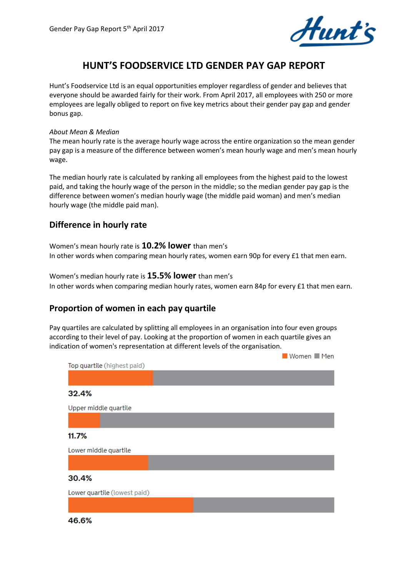

# **HUNT'S FOODSERVICE LTD GENDER PAY GAP REPORT**

Hunt's Foodservice Ltd is an equal opportunities employer regardless of gender and believes that everyone should be awarded fairly for their work. From April 2017, all employees with 250 or more employees are legally obliged to report on five key metrics about their gender pay gap and gender bonus gap.

#### *About Mean & Median*

The mean hourly rate is the average hourly wage across the entire organization so the mean gender pay gap is a measure of the difference between women's mean hourly wage and men's mean hourly wage.

The median hourly rate is calculated by ranking all employees from the highest paid to the lowest paid, and taking the hourly wage of the person in the middle; so the median gender pay gap is the difference between women's median hourly wage (the middle paid woman) and men's median hourly wage (the middle paid man).

## **Difference in hourly rate**

Women's mean hourly rate is **10.2% lower** than men's In other words when comparing mean hourly rates, women earn 90p for every £1 that men earn.

Women's median hourly rate is **15.5% lower** than men's In other words when comparing median hourly rates, women earn 84p for every £1 that men earn.

### **Proportion of women in each pay quartile**

Pay quartiles are calculated by splitting all employees in an organisation into four even groups according to their level of pay. Looking at the proportion of women in each quartile gives an indication of women's representation at different levels of the organisation.